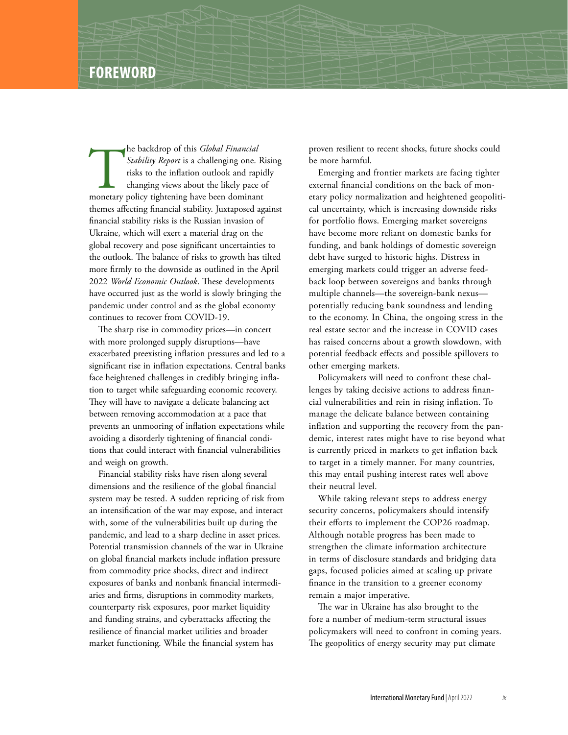## **FOREWORD**

The backdrop of this *Global Financial*<br> *Stability Report* is a challenging one. Rivisks to the inflation outlook and rapid<br>
changing views about the likely pace of<br>
monetary policy tightening have been dominant *Stability Report* is a challenging one. Rising risks to the inflation outlook and rapidly changing views about the likely pace of themes affecting financial stability. Juxtaposed against financial stability risks is the Russian invasion of Ukraine, which will exert a material drag on the global recovery and pose significant uncertainties to the outlook. The balance of risks to growth has tilted more firmly to the downside as outlined in the April 2022 *World Economic Outlook*. These developments have occurred just as the world is slowly bringing the pandemic under control and as the global economy continues to recover from COVID-19.

The sharp rise in commodity prices—in concert with more prolonged supply disruptions—have exacerbated preexisting inflation pressures and led to a significant rise in inflation expectations. Central banks face heightened challenges in credibly bringing inflation to target while safeguarding economic recovery. They will have to navigate a delicate balancing act between removing accommodation at a pace that prevents an unmooring of inflation expectations while avoiding a disorderly tightening of financial conditions that could interact with financial vulnerabilities and weigh on growth.

Financial stability risks have risen along several dimensions and the resilience of the global financial system may be tested. A sudden repricing of risk from an intensification of the war may expose, and interact with, some of the vulnerabilities built up during the pandemic, and lead to a sharp decline in asset prices. Potential transmission channels of the war in Ukraine on global financial markets include inflation pressure from commodity price shocks, direct and indirect exposures of banks and nonbank financial intermediaries and firms, disruptions in commodity markets, counterparty risk exposures, poor market liquidity and funding strains, and cyberattacks affecting the resilience of financial market utilities and broader market functioning. While the financial system has

proven resilient to recent shocks, future shocks could be more harmful.

Emerging and frontier markets are facing tighter external financial conditions on the back of monetary policy normalization and heightened geopolitical uncertainty, which is increasing downside risks for portfolio flows. Emerging market sovereigns have become more reliant on domestic banks for funding, and bank holdings of domestic sovereign debt have surged to historic highs. Distress in emerging markets could trigger an adverse feedback loop between sovereigns and banks through multiple channels—the sovereign-bank nexus potentially reducing bank soundness and lending to the economy. In China, the ongoing stress in the real estate sector and the increase in COVID cases has raised concerns about a growth slowdown, with potential feedback effects and possible spillovers to other emerging markets.

Policymakers will need to confront these challenges by taking decisive actions to address financial vulnerabilities and rein in rising inflation. To manage the delicate balance between containing inflation and supporting the recovery from the pandemic, interest rates might have to rise beyond what is currently priced in markets to get inflation back to target in a timely manner. For many countries, this may entail pushing interest rates well above their neutral level.

While taking relevant steps to address energy security concerns, policymakers should intensify their efforts to implement the COP26 roadmap. Although notable progress has been made to strengthen the climate information architecture in terms of disclosure standards and bridging data gaps, focused policies aimed at scaling up private finance in the transition to a greener economy remain a major imperative.

The war in Ukraine has also brought to the fore a number of medium-term structural issues policymakers will need to confront in coming years. The geopolitics of energy security may put climate